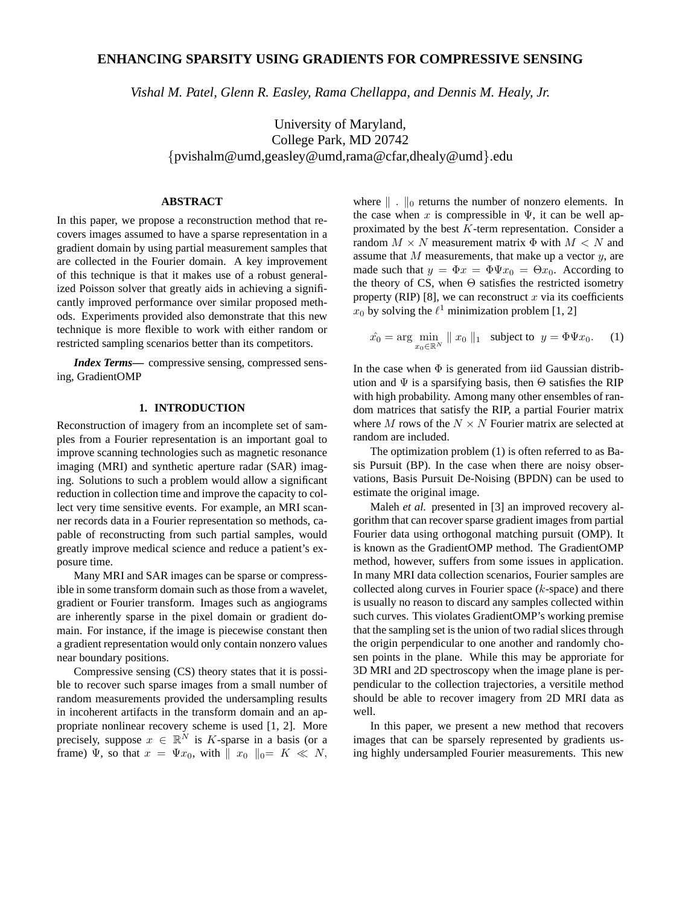## **ENHANCING SPARSITY USING GRADIENTS FOR COMPRESSIVE SENSING**

*Vishal M. Patel, Glenn R. Easley, Rama Chellappa, and Dennis M. Healy, Jr.*

University of Maryland, College Park, MD 20742 {pvishalm@umd,geasley@umd,rama@cfar,dhealy@umd}.edu

#### **ABSTRACT**

In this paper, we propose a reconstruction method that recovers images assumed to have a sparse representation in a gradient domain by using partial measurement samples that are collected in the Fourier domain. A key improvement of this technique is that it makes use of a robust generalized Poisson solver that greatly aids in achieving a significantly improved performance over similar proposed methods. Experiments provided also demonstrate that this new technique is more flexible to work with either random or restricted sampling scenarios better than its competitors.

*Index Terms***—** compressive sensing, compressed sensing, GradientOMP

### **1. INTRODUCTION**

Reconstruction of imagery from an incomplete set of samples from a Fourier representation is an important goal to improve scanning technologies such as magnetic resonance imaging (MRI) and synthetic aperture radar (SAR) imaging. Solutions to such a problem would allow a significant reduction in collection time and improve the capacity to collect very time sensitive events. For example, an MRI scanner records data in a Fourier representation so methods, capable of reconstructing from such partial samples, would greatly improve medical science and reduce a patient's exposure time.

Many MRI and SAR images can be sparse or compressible in some transform domain such as those from a wavelet, gradient or Fourier transform. Images such as angiograms are inherently sparse in the pixel domain or gradient domain. For instance, if the image is piecewise constant then a gradient representation would only contain nonzero values near boundary positions.

Compressive sensing (CS) theory states that it is possible to recover such sparse images from a small number of random measurements provided the undersampling results in incoherent artifacts in the transform domain and an appropriate nonlinear recovery scheme is used [1, 2]. More precisely, suppose  $x \in \mathbb{R}^N$  is K-sparse in a basis (or a frame)  $\Psi$ , so that  $x = \Psi x_0$ , with  $\parallel x_0 \parallel_0= K \ll N$ ,

where  $\| \cdot \|_0$  returns the number of nonzero elements. In the case when x is compressible in  $\Psi$ , it can be well approximated by the best K-term representation. Consider a random  $M \times N$  measurement matrix  $\Phi$  with  $M \leq N$  and assume that  $M$  measurements, that make up a vector  $y$ , are made such that  $y = \Phi x = \Phi \Psi x_0 = \Theta x_0$ . According to the theory of CS, when  $\Theta$  satisfies the restricted isometry property (RIP) [8], we can reconstruct x via its coefficients  $x_0$  by solving the  $\ell^1$  minimization problem [1, 2]

$$
\hat{x_0} = \arg\min_{x_0 \in \mathbb{R}^N} \|x_0\|_1 \quad \text{subject to} \quad y = \Phi \Psi x_0. \tag{1}
$$

In the case when  $\Phi$  is generated from iid Gaussian distribution and  $\Psi$  is a sparsifying basis, then  $\Theta$  satisfies the RIP with high probability. Among many other ensembles of random matrices that satisfy the RIP, a partial Fourier matrix where M rows of the  $N \times N$  Fourier matrix are selected at random are included.

The optimization problem (1) is often referred to as Basis Pursuit (BP). In the case when there are noisy observations, Basis Pursuit De-Noising (BPDN) can be used to estimate the original image.

Maleh *et al.* presented in [3] an improved recovery algorithm that can recover sparse gradient images from partial Fourier data using orthogonal matching pursuit (OMP). It is known as the GradientOMP method. The GradientOMP method, however, suffers from some issues in application. In many MRI data collection scenarios, Fourier samples are collected along curves in Fourier space  $(k\text{-space})$  and there is usually no reason to discard any samples collected within such curves. This violates GradientOMP's working premise that the sampling set is the union of two radial slices through the origin perpendicular to one another and randomly chosen points in the plane. While this may be approriate for 3D MRI and 2D spectroscopy when the image plane is perpendicular to the collection trajectories, a versitile method should be able to recover imagery from 2D MRI data as well.

In this paper, we present a new method that recovers images that can be sparsely represented by gradients using highly undersampled Fourier measurements. This new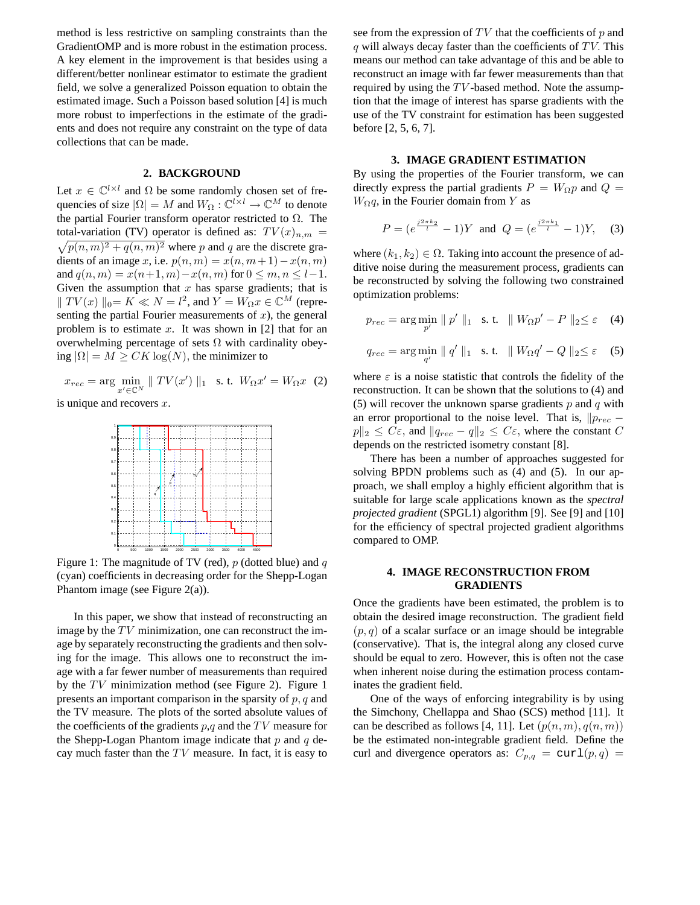method is less restrictive on sampling constraints than the GradientOMP and is more robust in the estimation process. A key element in the improvement is that besides using a different/better nonlinear estimator to estimate the gradient field, we solve a generalized Poisson equation to obtain the estimated image. Such a Poisson based solution [4] is much more robust to imperfections in the estimate of the gradients and does not require any constraint on the type of data collections that can be made.

#### **2. BACKGROUND**

Let  $x \in \mathbb{C}^{l \times l}$  and  $\Omega$  be some randomly chosen set of frequencies of size  $|\Omega| = M$  and  $W_{\Omega}: \mathbb{C}^{l \times l} \to \mathbb{C}^{M}$  to denote the partial Fourier transform operator restricted to  $\Omega$ . The total-variation (TV) operator is defined as:  $TV(x)_{n,m} =$  $\sqrt{p(n,m)^2 + q(n,m)^2}$  where p and q are the discrete gradients of an image x, i.e.  $p(n, m) = x(n, m + 1) - x(n, m)$ and  $q(n,m) = x(n+1,m) - x(n,m)$  for  $0 \le m, n \le l-1$ . Given the assumption that  $x$  has sparse gradients; that is  $\| TV(x) \|_{0} = K \ll N = l^{2}$ , and  $Y = W_{\Omega} x \in \mathbb{C}^{M}$  (representing the partial Fourier measurements of  $x$ ), the general problem is to estimate x. It was shown in [2] that for an overwhelming percentage of sets  $\Omega$  with cardinality obeying  $|\Omega| = M \geq CK \log(N)$ , the minimizer to

 $x_{rec} = \arg \min_{x' \in \mathbb{C}^N} \parallel TV(x') \parallel_1 \text{ s. t. } W_{\Omega} x' = W_{\Omega} x \text{ (2)}$ is unique and recovers  $x$ .



Figure 1: The magnitude of TV (red),  $p$  (dotted blue) and  $q$ (cyan) coefficients in decreasing order for the Shepp-Logan Phantom image (see Figure 2(a)).

In this paper, we show that instead of reconstructing an image by the  $TV$  minimization, one can reconstruct the image by separately reconstructing the gradients and then solving for the image. This allows one to reconstruct the image with a far fewer number of measurements than required by the TV minimization method (see Figure 2). Figure 1 presents an important comparison in the sparsity of  $p, q$  and the TV measure. The plots of the sorted absolute values of the coefficients of the gradients  $p,q$  and the TV measure for the Shepp-Logan Phantom image indicate that  $p$  and  $q$  decay much faster than the  $TV$  measure. In fact, it is easy to

see from the expression of  $TV$  that the coefficients of  $p$  and  $q$  will always decay faster than the coefficients of TV. This means our method can take advantage of this and be able to reconstruct an image with far fewer measurements than that required by using the TV -based method. Note the assumption that the image of interest has sparse gradients with the use of the TV constraint for estimation has been suggested before [2, 5, 6, 7].

#### **3. IMAGE GRADIENT ESTIMATION**

By using the properties of the Fourier transform, we can directly express the partial gradients  $P = W_{\Omega}p$  and  $Q =$  $W_{\Omega}q$ , in the Fourier domain from Y as

$$
P = (e^{\frac{j2\pi k_2}{l}} - 1)Y \text{ and } Q = (e^{\frac{j2\pi k_1}{l}} - 1)Y, \quad (3)
$$

where  $(k_1, k_2) \in \Omega$ . Taking into account the presence of additive noise during the measurement process, gradients can be reconstructed by solving the following two constrained optimization problems:

$$
p_{rec} = \arg\min_{p'} \| p' \|_1 \quad \text{s. t. } \| W_{\Omega} p' - P \|_2 \le \varepsilon \quad (4)
$$

$$
q_{rec} = \arg\min_{q'} \|q'\|_1 \quad \text{s. t. } \|W_{\Omega}q' - Q\|_2 \leq \varepsilon \quad (5)
$$

where  $\varepsilon$  is a noise statistic that controls the fidelity of the reconstruction. It can be shown that the solutions to (4) and (5) will recover the unknown sparse gradients  $p$  and  $q$  with an error proportional to the noise level. That is,  $\|p_{rec}$  $p||_2 \leq C\varepsilon$ , and  $||q_{rec} - q||_2 \leq C\varepsilon$ , where the constant C depends on the restricted isometry constant [8].

There has been a number of approaches suggested for solving BPDN problems such as (4) and (5). In our approach, we shall employ a highly efficient algorithm that is suitable for large scale applications known as the *spectral projected gradient* (SPGL1) algorithm [9]. See [9] and [10] for the efficiency of spectral projected gradient algorithms compared to OMP.

## **4. IMAGE RECONSTRUCTION FROM GRADIENTS**

Once the gradients have been estimated, the problem is to obtain the desired image reconstruction. The gradient field  $(p,q)$  of a scalar surface or an image should be integrable (conservative). That is, the integral along any closed curve should be equal to zero. However, this is often not the case when inherent noise during the estimation process contaminates the gradient field.

One of the ways of enforcing integrability is by using the Simchony, Chellappa and Shao (SCS) method [11]. It can be described as follows [4, 11]. Let  $(p(n, m), q(n, m))$ be the estimated non-integrable gradient field. Define the curl and divergence operators as:  $C_{p,q} = \text{curl}(p,q) =$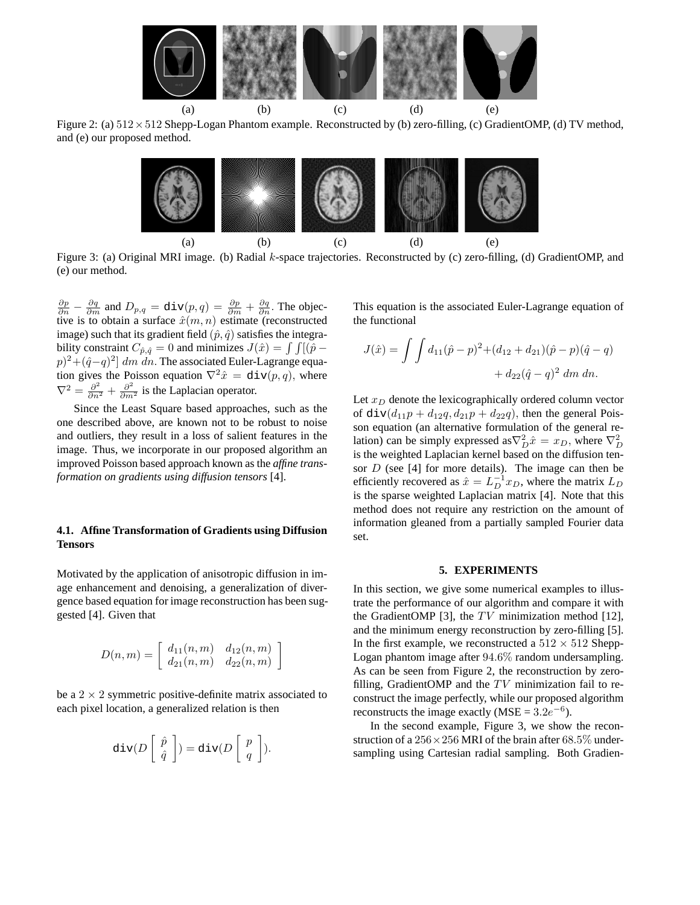

Figure 2: (a)  $512 \times 512$  Shepp-Logan Phantom example. Reconstructed by (b) zero-filling, (c) GradientOMP, (d) TV method, and (e) our proposed method.



Figure 3: (a) Original MRI image. (b) Radial k-space trajectories. Reconstructed by (c) zero-filling, (d) GradientOMP, and (e) our method.

 $\frac{\partial p}{\partial n} - \frac{\partial q}{\partial m}$  and  $D_{p,q} = \text{div}(p,q) = \frac{\partial p}{\partial m} + \frac{\partial q}{\partial n}$ . The objective is to obtain a surface  $\hat{x}(m,n)$  estimate (reconstructed image) such that its gradient field  $(\hat{p}, \hat{q})$  satisfies the integrability constraint  $C_{\hat{p}, \hat{q}} = 0$  and minimizes  $J(\hat{x}) = \int \int [(\hat{p}$  $p^2 + (\hat{q}-q)^2$  dm dn. The associated Euler-Lagrange equation gives the Poisson equation  $\nabla^2 \hat{x} = \text{div}(p, q)$ , where  $\nabla^2 = \frac{\partial^2}{\partial n^2} + \frac{\partial^2}{\partial m^2}$  is the Laplacian operator.

Since the Least Square based approaches, such as the one described above, are known not to be robust to noise and outliers, they result in a loss of salient features in the image. Thus, we incorporate in our proposed algorithm an improved Poisson based approach known as the *affine transformation on gradients using diffusion tensors* [4].

## **4.1. Affine Transformation of Gradients using Diffusion Tensors**

Motivated by the application of anisotropic diffusion in image enhancement and denoising, a generalization of divergence based equation for image reconstruction has been suggested [4]. Given that

$$
D(n,m) = \left[ \begin{array}{cc} d_{11}(n,m) & d_{12}(n,m) \\ d_{21}(n,m) & d_{22}(n,m) \end{array} \right]
$$

be a  $2 \times 2$  symmetric positive-definite matrix associated to each pixel location, a generalized relation is then

$$
\mathtt{div}(D\left[\begin{array}{c} \hat{p} \\ \hat{q} \end{array}\right])=\mathtt{div}(D\left[\begin{array}{c} p \\ q \end{array}\right]).
$$

This equation is the associated Euler-Lagrange equation of the functional

$$
J(\hat{x}) = \int \int d_{11}(\hat{p} - p)^2 + (d_{12} + d_{21})(\hat{p} - p)(\hat{q} - q) + d_{22}(\hat{q} - q)^2 dm dm.
$$

Let  $x_D$  denote the lexicographically ordered column vector of div $(d_{11}p + d_{12}q, d_{21}p + d_{22}q)$ , then the general Poisson equation (an alternative formulation of the general relation) can be simply expressed as  $\nabla_D^2 \hat{x} = x_D$ , where  $\nabla_D^2$ is the weighted Laplacian kernel based on the diffusion tensor  $D$  (see [4] for more details). The image can then be efficiently recovered as  $\hat{x} = L_D^{-1} x_D$ , where the matrix  $L_D$ is the sparse weighted Laplacian matrix [4]. Note that this method does not require any restriction on the amount of information gleaned from a partially sampled Fourier data set.

#### **5. EXPERIMENTS**

In this section, we give some numerical examples to illustrate the performance of our algorithm and compare it with the GradientOMP [3], the  $TV$  minimization method [12], and the minimum energy reconstruction by zero-filling [5]. In the first example, we reconstructed a  $512 \times 512$  Shepp-Logan phantom image after 94.6% random undersampling. As can be seen from Figure 2, the reconstruction by zerofilling, GradientOMP and the  $TV$  minimization fail to reconstruct the image perfectly, while our proposed algorithm reconstructs the image exactly (MSE =  $3.2e^{-6}$ ).

In the second example, Figure 3, we show the reconstruction of a  $256 \times 256$  MRI of the brain after 68.5% undersampling using Cartesian radial sampling. Both Gradien